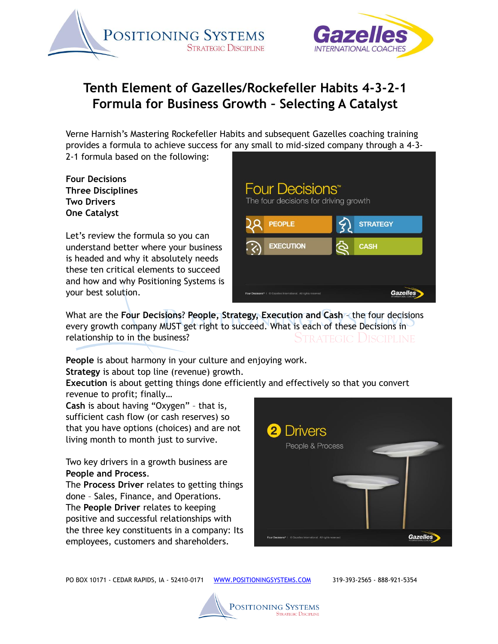



## **Tenth Element of Gazelles/Rockefeller Habits 4-3-2-1 Formula for Business Growth – Selecting A Catalyst**

Verne Harnish's Mastering Rockefeller Habits and subsequent Gazelles coaching training provides a formula to achieve success for any small to mid-sized company through a 4-3- 2-1 formula based on the following:

**Four Decisions Three Disciplines Two Drivers One Catalyst**

Let's review the formula so you can understand better where your business is headed and why it absolutely needs these ten critical elements to succeed and how and why Positioning Systems is your best solution.

| Four Decisions <sup>**</sup><br>The four decisions for driving growth       |              |                 |
|-----------------------------------------------------------------------------|--------------|-----------------|
| <b>PEOPLE</b>                                                               | $\mathbf{z}$ | <b>STRATEGY</b> |
| <b>EXECUTION</b>                                                            | Q            | <b>CASH</b>     |
|                                                                             |              |                 |
| Four Decisions <sup>*</sup>   © Gazelles International. All rights reserved |              |                 |

What are the **Four Decisions**? **People, Strategy, Execution and Cash** – the four decisions every growth company MUST get right to succeed. What is each of these Decisions in relationship to in the business? dtrategic Discipline

**People** is about harmony in your culture and enjoying work. **Strategy** is about top line (revenue) growth.

**Execution** is about getting things done efficiently and effectively so that you convert revenue to profit; finally…

**Cash** is about having "Oxygen" – that is, sufficient cash flow (or cash reserves) so that you have options (choices) and are not living month to month just to survive.

Two key drivers in a growth business are **People and Process**.

The **Process Driver** relates to getting things done – Sales, Finance, and Operations. The **People Driver** relates to keeping positive and successful relationships with the three key constituents in a company: Its employees, customers and shareholders.



PO BOX 10171 - CEDAR RAPIDS, IA - 52410-0171 WWW.POSITIONINGSYSTEMS.COM 319-393-2565 - 888-921-5354

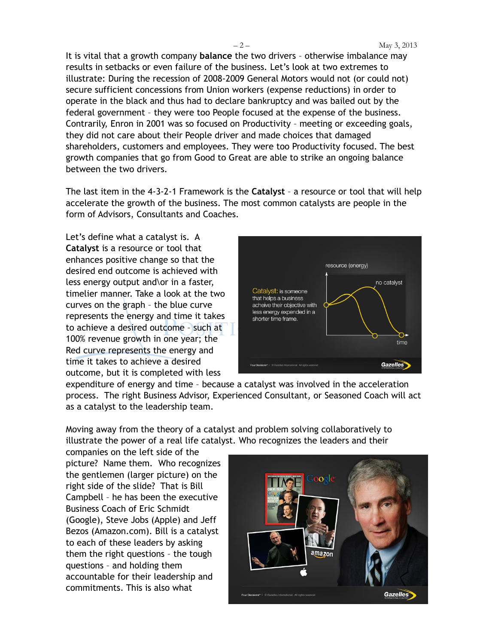It is vital that a growth company **balance** the two drivers – otherwise imbalance may results in setbacks or even failure of the business. Let's look at two extremes to illustrate: During the recession of 2008-2009 General Motors would not (or could not) secure sufficient concessions from Union workers (expense reductions) in order to operate in the black and thus had to declare bankruptcy and was bailed out by the federal government – they were too People focused at the expense of the business. Contrarily, Enron in 2001 was so focused on Productivity – meeting or exceeding goals, they did not care about their People driver and made choices that damaged shareholders, customers and employees. They were too Productivity focused. The best growth companies that go from Good to Great are able to strike an ongoing balance between the two drivers.

The last item in the 4-3-2-1 Framework is the **Catalyst** – a resource or tool that will help accelerate the growth of the business. The most common catalysts are people in the form of Advisors, Consultants and Coaches.

Let's define what a catalyst is. A **Catalyst** is a resource or tool that enhances positive change so that the desired end outcome is achieved with less energy output and\or in a faster, timelier manner. Take a look at the two curves on the graph – the blue curve represents the energy and time it takes to achieve a desired outcome – such at 100% revenue growth in one year; the Red curve represents the energy and time it takes to achieve a desired outcome, but it is completed with less



expenditure of energy and time – because a catalyst was involved in the acceleration process. The right Business Advisor, Experienced Consultant, or Seasoned Coach will act as a catalyst to the leadership team.

Moving away from the theory of a catalyst and problem solving collaboratively to illustrate the power of a real life catalyst. Who recognizes the leaders and their

companies on the left side of the picture? Name them. Who recognizes the gentlemen (larger picture) on the right side of the slide? That is Bill Campbell – he has been the executive Business Coach of Eric Schmidt (Google), Steve Jobs (Apple) and Jeff Bezos (Amazon.com). Bill is a catalyst to each of these leaders by asking them the right questions – the tough questions – and holding them accountable for their leadership and commitments. This is also what

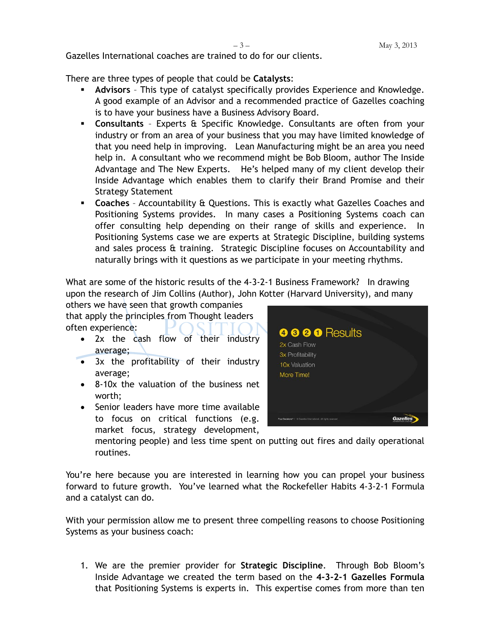Gazelles International coaches are trained to do for our clients.

There are three types of people that could be **Catalysts**:

- **Advisors** This type of catalyst specifically provides Experience and Knowledge. A good example of an Advisor and a recommended practice of Gazelles coaching is to have your business have a Business Advisory Board.
- **Consultants** Experts & Specific Knowledge. Consultants are often from your industry or from an area of your business that you may have limited knowledge of that you need help in improving. Lean Manufacturing might be an area you need help in. A consultant who we recommend might be Bob Bloom, author The Inside Advantage and The New Experts. He's helped many of my client develop their Inside Advantage which enables them to clarify their Brand Promise and their Strategy Statement
- **Coaches** Accountability & Questions. This is exactly what Gazelles Coaches and Positioning Systems provides. In many cases a Positioning Systems coach can offer consulting help depending on their range of skills and experience. Positioning Systems case we are experts at Strategic Discipline, building systems and sales process & training. Strategic Discipline focuses on Accountability and naturally brings with it questions as we participate in your meeting rhythms.

What are some of the historic results of the 4-3-2-1 Business Framework? In drawing upon the research of Jim Collins (Author), John Kotter (Harvard University), and many

others we have seen that growth companies that apply the principles from Thought leaders

often experience:

- 2x the cash flow of their industry average;
- 3x the profitability of their industry average;
- 8-10x the valuation of the business net worth;
- Senior leaders have more time available to focus on critical functions (e.g. market focus, strategy development,



mentoring people) and less time spent on putting out fires and daily operational routines.

You're here because you are interested in learning how you can propel your business forward to future growth. You've learned what the Rockefeller Habits 4-3-2-1 Formula and a catalyst can do.

With your permission allow me to present three compelling reasons to choose Positioning Systems as your business coach:

1. We are the premier provider for **Strategic Discipline**. Through Bob Bloom's Inside Advantage we created the term based on the **4-3-2-1 Gazelles Formula** that Positioning Systems is experts in. This expertise comes from more than ten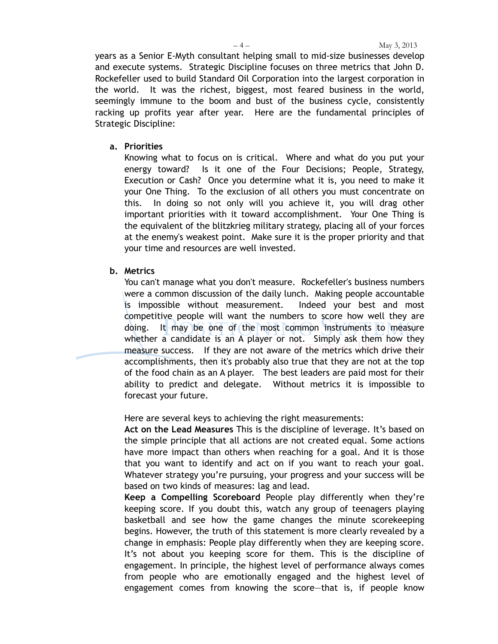years as a Senior E-Myth consultant helping small to mid-size businesses develop and execute systems. Strategic Discipline focuses on three metrics that John D. Rockefeller used to build Standard Oil Corporation into the largest corporation in the world. It was the richest, biggest, most feared business in the world, seemingly immune to the boom and bust of the business cycle, consistently racking up profits year after year. Here are the fundamental principles of Strategic Discipline:

## **a. Priorities**

Knowing what to focus on is critical. Where and what do you put your energy toward? Is it one of the Four Decisions; People, Strategy, Execution or Cash? Once you determine what it is, you need to make it your One Thing. To the exclusion of all others you must concentrate on this. In doing so not only will you achieve it, you will drag other important priorities with it toward accomplishment. Your One Thing is the equivalent of the blitzkrieg military strategy, placing all of your forces at the enemy's weakest point. Make sure it is the proper priority and that your time and resources are well invested.

## **b. Metrics**

You can't manage what you don't measure. Rockefeller's business numbers were a common discussion of the daily lunch. Making people accountable is impossible without measurement. Indeed your best and most competitive people will want the numbers to score how well they are doing. It may be one of the most common instruments to measure whether a candidate is an A player or not. Simply ask them how they measure success. If they are not aware of the metrics which drive their accomplishments, then it's probably also true that they are not at the top of the food chain as an A player. The best leaders are paid most for their ability to predict and delegate. Without metrics it is impossible to forecast your future.

Here are several keys to achieving the right measurements:

**Act on the Lead Measures** This is the discipline of leverage. It's based on the simple principle that all actions are not created equal. Some actions have more impact than others when reaching for a goal. And it is those that you want to identify and act on if you want to reach your goal. Whatever strategy you're pursuing, your progress and your success will be based on two kinds of measures: lag and lead.

**Keep a Compelling Scoreboard** People play differently when they're keeping score. If you doubt this, watch any group of teenagers playing basketball and see how the game changes the minute scorekeeping begins. However, the truth of this statement is more clearly revealed by a change in emphasis: People play differently when they are keeping score. It's not about you keeping score for them. This is the discipline of engagement. In principle, the highest level of performance always comes from people who are emotionally engaged and the highest level of engagement comes from knowing the score—that is, if people know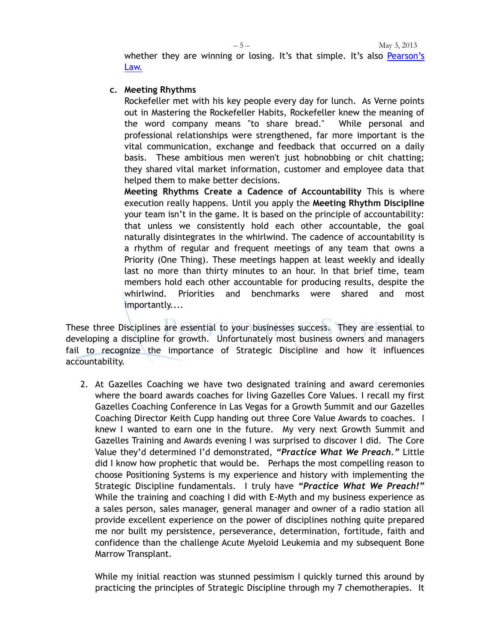$-5 -$  May 3, 2013 whether they are winning or losing. It's that simple. It's also [Pearson'](http://positioningsystems.com/blog.php?entryID=67)s [Law.](http://positioningsystems.com/blog.php?entryID=67)

## **c. Meeting Rhythms**

Rockefeller met with his key people every day for lunch. As Verne points out in Mastering the Rockefeller Habits, Rockefeller knew the meaning of the word company means "to share bread." While personal and professional relationships were strengthened, far more important is the vital communication, exchange and feedback that occurred on a daily basis. These ambitious men weren't just hobnobbing or chit chatting; they shared vital market information, customer and employee data that helped them to make better decisions.

**Meeting Rhythms Create a Cadence of Accountability** This is where execution really happens. Until you apply the **Meeting Rhythm Discipline** your team isn't in the game. It is based on the principle of accountability: that unless we consistently hold each other accountable, the goal naturally disintegrates in the whirlwind. The cadence of accountability is a rhythm of regular and frequent meetings of any team that owns a Priority (One Thing). These meetings happen at least weekly and ideally last no more than thirty minutes to an hour. In that brief time, team members hold each other accountable for producing results, despite the whirlwind. Priorities and benchmarks were shared and most importantly....

These three Disciplines are essential to your businesses success. They are essential to developing a discipline for growth. Unfortunately most business owners and managers fail to recognize the importance of Strategic Discipline and how it influences accountability.

2. At Gazelles Coaching we have two designated training and award ceremonies where the board awards coaches for living Gazelles Core Values. I recall my first Gazelles Coaching Conference in Las Vegas for a Growth Summit and our Gazelles Coaching Director Keith Cupp handing out three Core Value Awards to coaches. I knew I wanted to earn one in the future. My very next Growth Summit and Gazelles Training and Awards evening I was surprised to discover I did. The Core Value they'd determined I'd demonstrated, *"Practice What We Preach."* Little did I know how prophetic that would be. Perhaps the most compelling reason to choose Positioning Systems is my experience and history with implementing the Strategic Discipline fundamentals. I truly have *"Practice What We Preach!"* While the training and coaching I did with E-Myth and my business experience as a sales person, sales manager, general manager and owner of a radio station all provide excellent experience on the power of disciplines nothing quite prepared me nor built my persistence, perseverance, determination, fortitude, faith and confidence than the challenge Acute Myeloid Leukemia and my subsequent Bone Marrow Transplant.

While my initial reaction was stunned pessimism I quickly turned this around by practicing the principles of Strategic Discipline through my 7 chemotherapies. It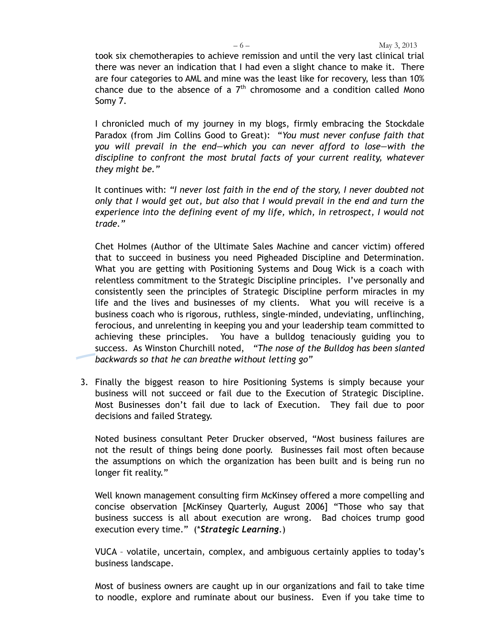took six chemotherapies to achieve remission and until the very last clinical trial there was never an indication that I had even a slight chance to make it. There are four categories to AML and mine was the least like for recovery, less than 10% chance due to the absence of a  $7<sup>th</sup>$  chromosome and a condition called Mono Somy 7.

I chronicled much of my journey in my blogs, firmly embracing the Stockdale Paradox (from Jim Collins Good to Great): "*You must never confuse faith that you will prevail in the end—which you can never afford to lose—with the discipline to confront the most brutal facts of your current reality, whatever they might be."*

It continues with: *"I never lost faith in the end of the story, I never doubted not only that I would get out, but also that I would prevail in the end and turn the experience into the defining event of my life, which, in retrospect, I would not trade."*

Chet Holmes (Author of the Ultimate Sales Machine and cancer victim) offered that to succeed in business you need Pigheaded Discipline and Determination. What you are getting with Positioning Systems and Doug Wick is a coach with relentless commitment to the Strategic Discipline principles. I've personally and consistently seen the principles of Strategic Discipline perform miracles in my life and the lives and businesses of my clients. What you will receive is a business coach who is rigorous, ruthless, single-minded, undeviating, unflinching, ferocious, and unrelenting in keeping you and your leadership team committed to achieving these principles. You have a bulldog tenaciously guiding you to success. As Winston Churchill noted, *"The nose of the Bulldog has been slanted backwards so that he can breathe without letting go"*

3. Finally the biggest reason to hire Positioning Systems is simply because your business will not succeed or fail due to the Execution of Strategic Discipline. Most Businesses don't fail due to lack of Execution. They fail due to poor decisions and failed Strategy.

Noted business consultant Peter Drucker observed, "Most business failures are not the result of things being done poorly. Businesses fail most often because the assumptions on which the organization has been built and is being run no longer fit reality."

Well known management consulting firm McKinsey offered a more compelling and concise observation [McKinsey Quarterly, August 2006] "Those who say that business success is all about execution are wrong. Bad choices trump good execution every time." (\**Strategic Learning*.)

VUCA – volatile, uncertain, complex, and ambiguous certainly applies to today's business landscape.

Most of business owners are caught up in our organizations and fail to take time to noodle, explore and ruminate about our business. Even if you take time to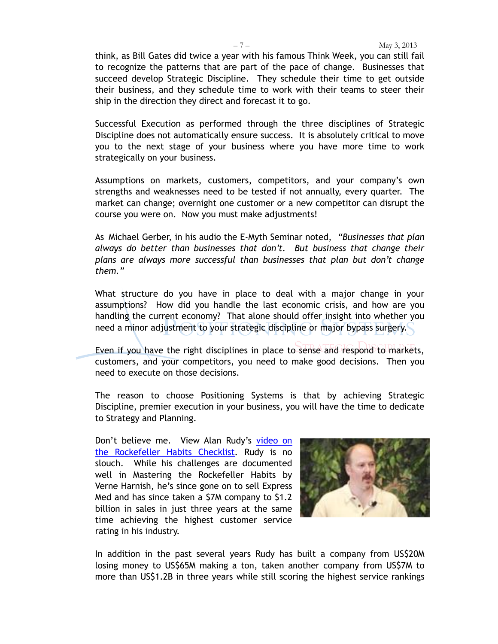think, as Bill Gates did twice a year with his famous Think Week, you can still fail to recognize the patterns that are part of the pace of change. Businesses that succeed develop Strategic Discipline. They schedule their time to get outside their business, and they schedule time to work with their teams to steer their ship in the direction they direct and forecast it to go.

Successful Execution as performed through the three disciplines of Strategic Discipline does not automatically ensure success. It is absolutely critical to move you to the next stage of your business where you have more time to work strategically on your business.

Assumptions on markets, customers, competitors, and your company's own strengths and weaknesses need to be tested if not annually, every quarter. The market can change; overnight one customer or a new competitor can disrupt the course you were on. Now you must make adjustments!

As Michael Gerber, in his audio the E-Myth Seminar noted, *"Businesses that plan always do better than businesses that don't. But business that change their plans are always more successful than businesses that plan but don't change them."* 

What structure do you have in place to deal with a major change in your assumptions? How did you handle the last economic crisis, and how are you handling the current economy? That alone should offer insight into whether you need a minor adjustment to your strategic discipline or major bypass surgery.

Even if you have the right disciplines in place to sense and respond to markets, customers, and your competitors, you need to make good decisions. Then you need to execute on those decisions.

The reason to choose Positioning Systems is that by achieving Strategic Discipline, premier execution in your business, you will have the time to dedicate to Strategy and Planning.

Don't believe me. View Alan Rudy's [video on](http://youtu.be/sM2TkLlzg-4)  [the Rockefeller Habits Checklist.](http://youtu.be/sM2TkLlzg-4) Rudy is no slouch. While his challenges are documented well in Mastering the Rockefeller Habits by Verne Harnish, he's since gone on to sell Express Med and has since taken a \$7M company to \$1.2 billion in sales in just three years at the same time achieving the highest customer service rating in his industry.



In addition in the past several years Rudy has built a company from US\$20M losing money to US\$65M making a ton, taken another company from US\$7M to more than US\$1.2B in three years while still scoring the highest service rankings